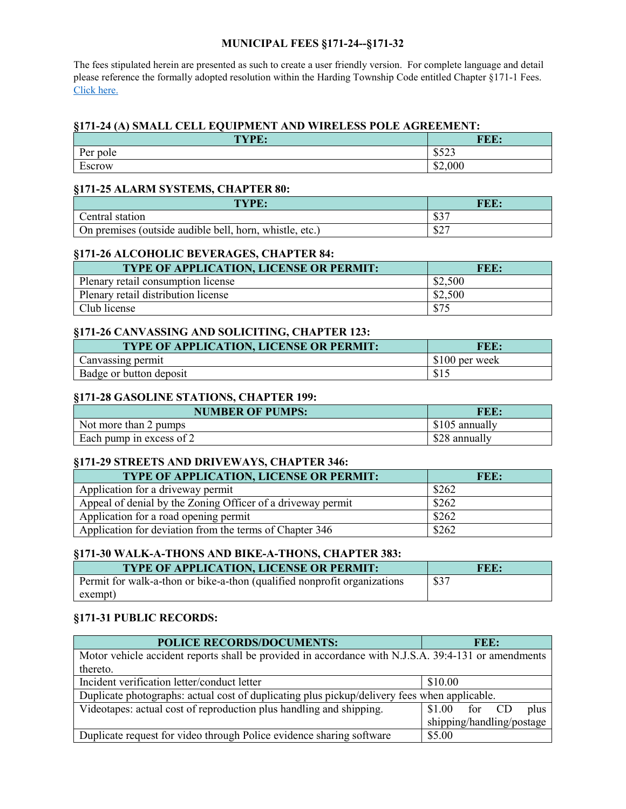### **MUNICIPAL FEES §171-24--§171-32**

The fees stipulated herein are presented as such to create a user friendly version. For complete language and detail please reference the formally adopted resolution within the Harding Township Code entitled Chapter §171-1 Fees. [Click here.](https://www.hardingnj.org/government/documents/department-documents/township-fees/980-tc-resolution-074-ammending-fees-for-2021-2-8-21/file)

## **§171-24 (A) SMALL CELL EQUIPMENT AND WIRELESS POLE AGREEMENT:**

| TYPE:                    | FEE:                 |
|--------------------------|----------------------|
| Per pole                 | 0.522<br>ر ے رو      |
| $\blacksquare$<br>Escrow | \$2,000<br>$\bigcap$ |

#### **§171-25 ALARM SYSTEMS, CHAPTER 80:**

| <b>TYPE:</b>                                            | FEE.      |
|---------------------------------------------------------|-----------|
| Central station                                         | 027<br>കാ |
| On premises (outside audible bell, horn, whistle, etc.) | 027<br>ΦZ |

## **§171-26 ALCOHOLIC BEVERAGES, CHAPTER 84:**

| <b>TYPE OF APPLICATION, LICENSE OR PERMIT:</b> | FEE:    |
|------------------------------------------------|---------|
| Plenary retail consumption license             | \$2,500 |
| Plenary retail distribution license            | \$2,500 |
| Club license                                   | \$75    |

### **§171-26 CANVASSING AND SOLICITING, CHAPTER 123:**

| <b>TYPE OF APPLICATION, LICENSE OR PERMIT:</b> | FEE:           |
|------------------------------------------------|----------------|
| Canvassing permit                              | \$100 per week |
| Badge or button deposit                        | \$1            |

### **§171-28 GASOLINE STATIONS, CHAPTER 199:**

| <b>NUMBER OF PUMPS:</b>  | FEE:           |
|--------------------------|----------------|
| Not more than 2 pumps    | \$105 annually |
| Each pump in excess of 2 | \$28 annually  |

#### **§171-29 STREETS AND DRIVEWAYS, CHAPTER 346:**

| TYPE OF APPLICATION, LICENSE OR PERMIT:                     | FEE:  |
|-------------------------------------------------------------|-------|
| Application for a driveway permit                           | \$262 |
| Appeal of denial by the Zoning Officer of a driveway permit | \$262 |
| Application for a road opening permit                       | \$262 |
| Application for deviation from the terms of Chapter 346     | \$262 |

# **§171-30 WALK-A-THONS AND BIKE-A-THONS, CHAPTER 383:**

| <b>TYPE OF APPLICATION, LICENSE OR PERMIT:</b>                           | FEE: |
|--------------------------------------------------------------------------|------|
| Permit for walk-a-thon or bike-a-thon (qualified nonprofit organizations | \$37 |
| exempt)                                                                  |      |

# **§171-31 PUBLIC RECORDS:**

| <b>POLICE RECORDS/DOCUMENTS:</b>                                                                    | FEE:                      |      |
|-----------------------------------------------------------------------------------------------------|---------------------------|------|
| Motor vehicle accident reports shall be provided in accordance with N.J.S.A. 39:4-131 or amendments |                           |      |
| thereto.                                                                                            |                           |      |
| Incident verification letter/conduct letter                                                         | \$10.00                   |      |
| Duplicate photographs: actual cost of duplicating plus pickup/delivery fees when applicable.        |                           |      |
| Videotapes: actual cost of reproduction plus handling and shipping.                                 | for CD<br>\$1.00          | plus |
|                                                                                                     | shipping/handling/postage |      |
| Duplicate request for video through Police evidence sharing software                                | \$5.00                    |      |